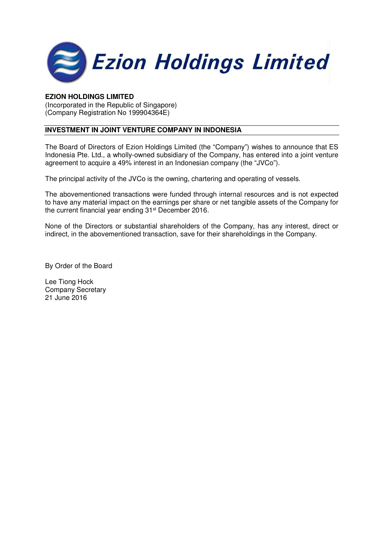

### **EZION HOLDINGS LIMITED**

(Incorporated in the Republic of Singapore) (Company Registration No 199904364E)

# **INVESTMENT IN JOINT VENTURE COMPANY IN INDONESIA**

The Board of Directors of Ezion Holdings Limited (the "Company") wishes to announce that ES Indonesia Pte. Ltd., a wholly-owned subsidiary of the Company, has entered into a joint venture agreement to acquire a 49% interest in an Indonesian company (the "JVCo").

The principal activity of the JVCo is the owning, chartering and operating of vessels.

The abovementioned transactions were funded through internal resources and is not expected to have any material impact on the earnings per share or net tangible assets of the Company for the current financial year ending 31st December 2016.

None of the Directors or substantial shareholders of the Company, has any interest, direct or indirect, in the abovementioned transaction, save for their shareholdings in the Company.

By Order of the Board

Lee Tiong Hock Company Secretary 21 June 2016